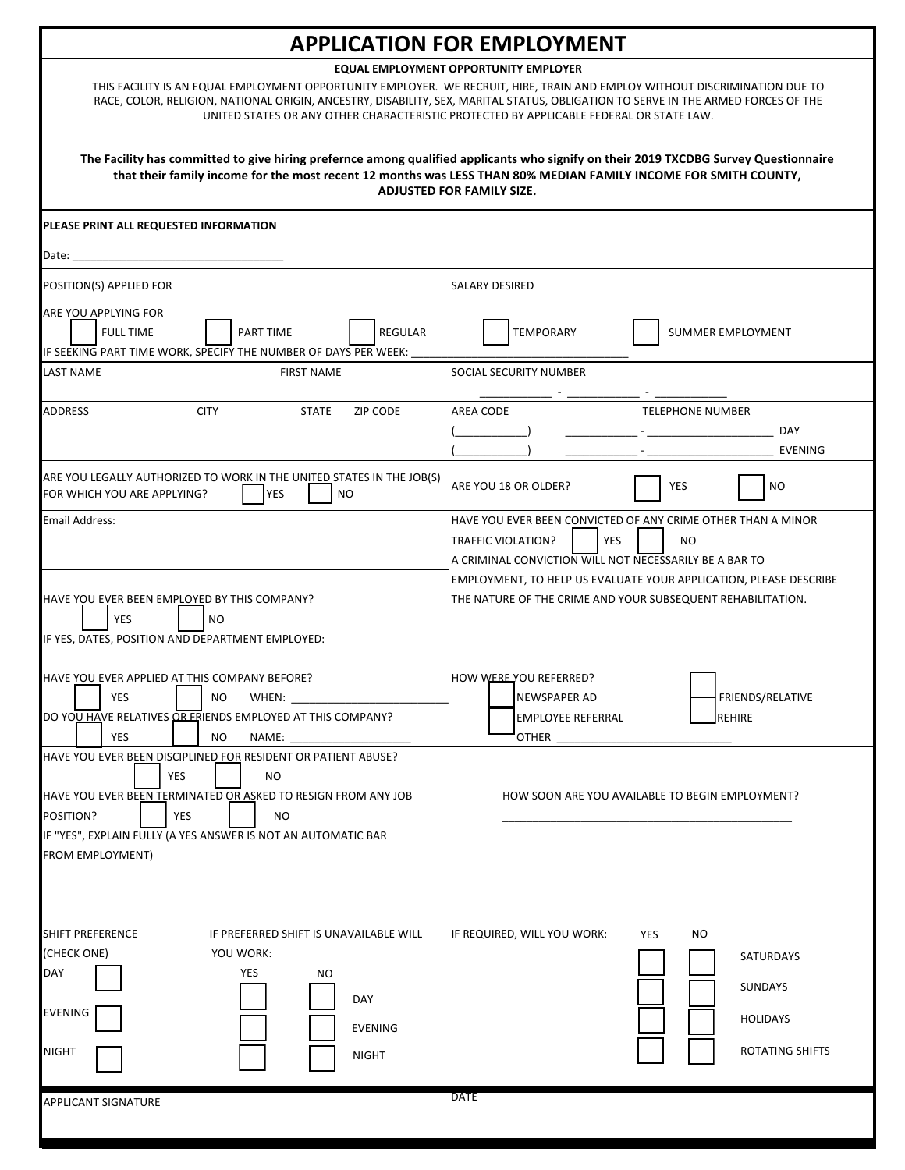| <b>APPLICATION FOR EMPLOYMENT</b>                                                                                                                                                                                                                                                                                                                                                                                                                                                                                                                                                                                                                                                                          |                                                                                                                                                                              |  |  |  |  |                                        |
|------------------------------------------------------------------------------------------------------------------------------------------------------------------------------------------------------------------------------------------------------------------------------------------------------------------------------------------------------------------------------------------------------------------------------------------------------------------------------------------------------------------------------------------------------------------------------------------------------------------------------------------------------------------------------------------------------------|------------------------------------------------------------------------------------------------------------------------------------------------------------------------------|--|--|--|--|----------------------------------------|
| <b>EQUAL EMPLOYMENT OPPORTUNITY EMPLOYER</b><br>THIS FACILITY IS AN EQUAL EMPLOYMENT OPPORTUNITY EMPLOYER. WE RECRUIT, HIRE, TRAIN AND EMPLOY WITHOUT DISCRIMINATION DUE TO<br>RACE, COLOR, RELIGION, NATIONAL ORIGIN, ANCESTRY, DISABILITY, SEX, MARITAL STATUS, OBLIGATION TO SERVE IN THE ARMED FORCES OF THE<br>UNITED STATES OR ANY OTHER CHARACTERISTIC PROTECTED BY APPLICABLE FEDERAL OR STATE LAW.<br>The Facility has committed to give hiring prefernce among qualified applicants who signify on their 2019 TXCDBG Survey Questionnaire<br>that their family income for the most recent 12 months was LESS THAN 80% MEDIAN FAMILY INCOME FOR SMITH COUNTY,<br><b>ADJUSTED FOR FAMILY SIZE.</b> |                                                                                                                                                                              |  |  |  |  |                                        |
|                                                                                                                                                                                                                                                                                                                                                                                                                                                                                                                                                                                                                                                                                                            |                                                                                                                                                                              |  |  |  |  | PLEASE PRINT ALL REQUESTED INFORMATION |
| Date:                                                                                                                                                                                                                                                                                                                                                                                                                                                                                                                                                                                                                                                                                                      |                                                                                                                                                                              |  |  |  |  |                                        |
| POSITION(S) APPLIED FOR                                                                                                                                                                                                                                                                                                                                                                                                                                                                                                                                                                                                                                                                                    | <b>SALARY DESIRED</b>                                                                                                                                                        |  |  |  |  |                                        |
| ARE YOU APPLYING FOR<br><b>REGULAR</b><br><b>FULL TIME</b><br>PART TIME<br>IF SEEKING PART TIME WORK, SPECIFY THE NUMBER OF DAYS PER WEEK:                                                                                                                                                                                                                                                                                                                                                                                                                                                                                                                                                                 | <b>TEMPORARY</b><br><b>SUMMER EMPLOYMENT</b>                                                                                                                                 |  |  |  |  |                                        |
| <b>LAST NAME</b><br><b>FIRST NAME</b>                                                                                                                                                                                                                                                                                                                                                                                                                                                                                                                                                                                                                                                                      | <b>SOCIAL SECURITY NUMBER</b>                                                                                                                                                |  |  |  |  |                                        |
| <b>ADDRESS</b><br><b>CITY</b><br><b>STATE</b><br><b>ZIP CODE</b>                                                                                                                                                                                                                                                                                                                                                                                                                                                                                                                                                                                                                                           | <b>AREA CODE</b><br><b>TELEPHONE NUMBER</b><br>DAY<br><b>EVENING</b>                                                                                                         |  |  |  |  |                                        |
| ARE YOU LEGALLY AUTHORIZED TO WORK IN THE UNITED STATES IN THE JOB(S)<br><b>YES</b><br>FOR WHICH YOU ARE APPLYING?<br>NO.                                                                                                                                                                                                                                                                                                                                                                                                                                                                                                                                                                                  | <b>NO</b><br>ARE YOU 18 OR OLDER?<br><b>YES</b>                                                                                                                              |  |  |  |  |                                        |
| Email Address:                                                                                                                                                                                                                                                                                                                                                                                                                                                                                                                                                                                                                                                                                             | HAVE YOU EVER BEEN CONVICTED OF ANY CRIME OTHER THAN A MINOR<br>TRAFFIC VIOLATION?<br><b>YES</b><br>N <sub>O</sub><br>A CRIMINAL CONVICTION WILL NOT NECESSARILY BE A BAR TO |  |  |  |  |                                        |
| HAVE YOU EVER BEEN EMPLOYED BY THIS COMPANY?<br>YES<br>NO.<br>IF YES, DATES, POSITION AND DEPARTMENT EMPLOYED:                                                                                                                                                                                                                                                                                                                                                                                                                                                                                                                                                                                             | EMPLOYMENT, TO HELP US EVALUATE YOUR APPLICATION, PLEASE DESCRIBE<br>THE NATURE OF THE CRIME AND YOUR SUBSEQUENT REHABILITATION.                                             |  |  |  |  |                                        |
| HAVE YOU EVER APPLIED AT THIS COMPANY BEFORE?<br>YES<br>NO WHEN:<br>DO YOU HAVE RELATIVES OR ERIENDS EMPLOYED AT THIS COMPANY?<br><b>YES</b><br>NO<br>NAME:<br>HAVE YOU EVER BEEN DISCIPLINED FOR RESIDENT OR PATIENT ABUSE?                                                                                                                                                                                                                                                                                                                                                                                                                                                                               | HOW WERE YOU REFERRED?<br><b>NEWSPAPER AD</b><br><b>FRIENDS/RELATIVE</b><br><b>EMPLOYEE REFERRAL</b><br><b>REHIRE</b><br>OTHER                                               |  |  |  |  |                                        |
| <b>YES</b><br>NO.<br>HAVE YOU EVER BEEN TERMINATED OR ASKED TO RESIGN FROM ANY JOB<br>YES<br>POSITION?<br><b>NO</b><br>IF "YES", EXPLAIN FULLY (A YES ANSWER IS NOT AN AUTOMATIC BAR<br><b>FROM EMPLOYMENT)</b>                                                                                                                                                                                                                                                                                                                                                                                                                                                                                            | HOW SOON ARE YOU AVAILABLE TO BEGIN EMPLOYMENT?                                                                                                                              |  |  |  |  |                                        |
| SHIFT PREFERENCE<br>IF PREFERRED SHIFT IS UNAVAILABLE WILL<br>(CHECK ONE)<br>YOU WORK:<br>DAY<br>YES<br>ΝO<br><b>DAY</b><br><b>EVENING</b><br><b>EVENING</b><br>NIGHT<br><b>NIGHT</b>                                                                                                                                                                                                                                                                                                                                                                                                                                                                                                                      | IF REQUIRED, WILL YOU WORK:<br>YES<br>NO.<br>SATURDAYS<br><b>SUNDAYS</b><br><b>HOLIDAYS</b><br><b>ROTATING SHIFTS</b>                                                        |  |  |  |  |                                        |
| <b>APPLICANT SIGNATURE</b>                                                                                                                                                                                                                                                                                                                                                                                                                                                                                                                                                                                                                                                                                 | <b>DATE</b>                                                                                                                                                                  |  |  |  |  |                                        |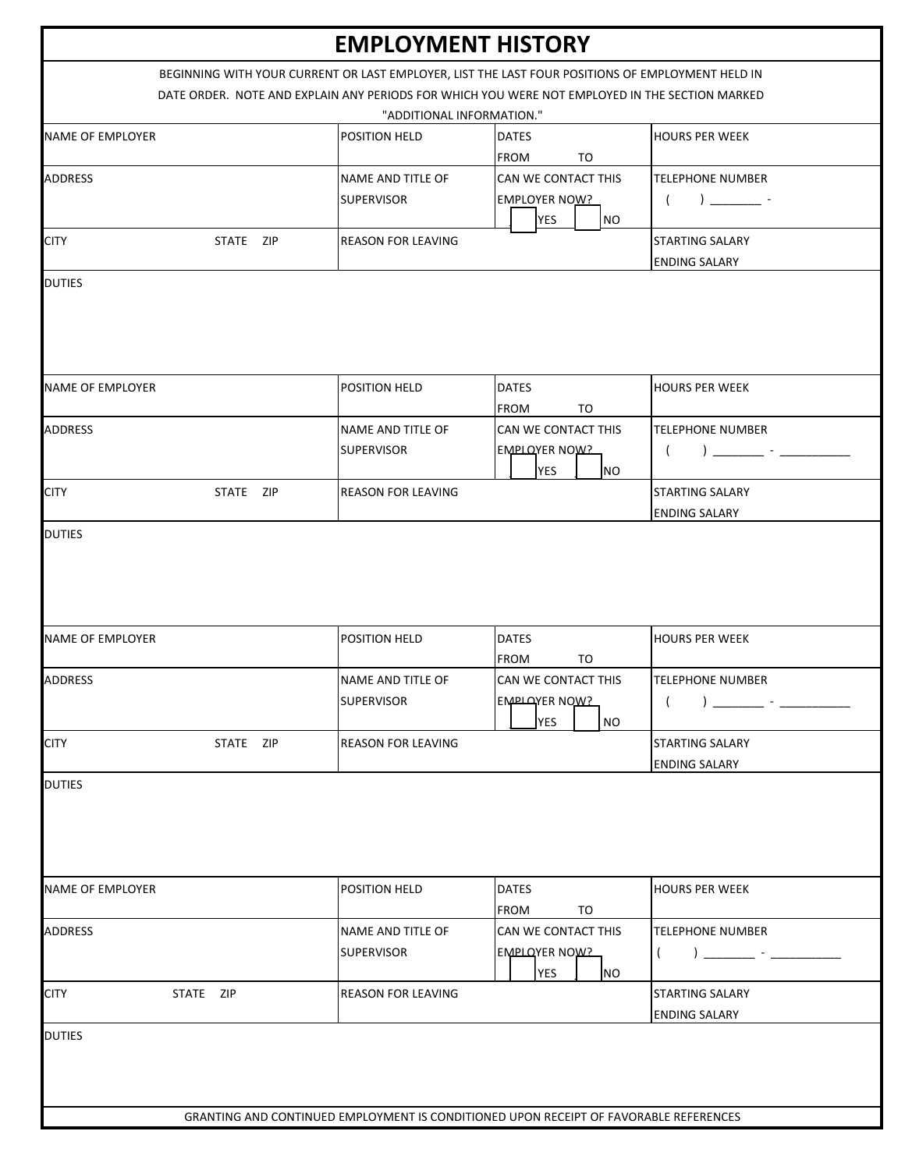| <b>EMPLOYMENT HISTORY</b> |           |                                                                                                  |                                                      |                                                                                                                                                                                                                                                                                                                                      |  |  |
|---------------------------|-----------|--------------------------------------------------------------------------------------------------|------------------------------------------------------|--------------------------------------------------------------------------------------------------------------------------------------------------------------------------------------------------------------------------------------------------------------------------------------------------------------------------------------|--|--|
|                           |           | BEGINNING WITH YOUR CURRENT OR LAST EMPLOYER, LIST THE LAST FOUR POSITIONS OF EMPLOYMENT HELD IN |                                                      |                                                                                                                                                                                                                                                                                                                                      |  |  |
|                           |           | DATE ORDER. NOTE AND EXPLAIN ANY PERIODS FOR WHICH YOU WERE NOT EMPLOYED IN THE SECTION MARKED   |                                                      |                                                                                                                                                                                                                                                                                                                                      |  |  |
|                           |           | "ADDITIONAL INFORMATION."                                                                        |                                                      |                                                                                                                                                                                                                                                                                                                                      |  |  |
| <b>NAME OF EMPLOYER</b>   |           | POSITION HELD                                                                                    | <b>DATES</b>                                         | <b>HOURS PER WEEK</b>                                                                                                                                                                                                                                                                                                                |  |  |
| <b>ADDRESS</b>            |           | NAME AND TITLE OF                                                                                | <b>FROM</b><br>TO<br>CAN WE CONTACT THIS             | <b>TELEPHONE NUMBER</b>                                                                                                                                                                                                                                                                                                              |  |  |
|                           |           | <b>SUPERVISOR</b>                                                                                | EMPLOYER NOW?                                        | $\sqrt{ }$                                                                                                                                                                                                                                                                                                                           |  |  |
|                           |           |                                                                                                  | <b>YES</b><br>N <sub>O</sub>                         |                                                                                                                                                                                                                                                                                                                                      |  |  |
| <b>CITY</b>               | STATE ZIP | <b>REASON FOR LEAVING</b>                                                                        |                                                      | STARTING SALARY                                                                                                                                                                                                                                                                                                                      |  |  |
|                           |           |                                                                                                  |                                                      | <b>ENDING SALARY</b>                                                                                                                                                                                                                                                                                                                 |  |  |
| <b>DUTIES</b>             |           |                                                                                                  |                                                      |                                                                                                                                                                                                                                                                                                                                      |  |  |
| NAME OF EMPLOYER          |           | POSITION HELD                                                                                    | <b>DATES</b>                                         | <b>HOURS PER WEEK</b>                                                                                                                                                                                                                                                                                                                |  |  |
| <b>ADDRESS</b>            |           | NAME AND TITLE OF                                                                                | T <sub>O</sub><br><b>FROM</b><br>CAN WE CONTACT THIS | <b>TELEPHONE NUMBER</b>                                                                                                                                                                                                                                                                                                              |  |  |
|                           |           | <b>SUPERVISOR</b>                                                                                | ΕΜΡΙΩΥΕR ΝΟΜΙ?                                       |                                                                                                                                                                                                                                                                                                                                      |  |  |
|                           |           |                                                                                                  | <b>YES</b><br>N <sub>O</sub>                         |                                                                                                                                                                                                                                                                                                                                      |  |  |
| <b>CITY</b>               | STATE ZIP | <b>REASON FOR LEAVING</b>                                                                        |                                                      | STARTING SALARY                                                                                                                                                                                                                                                                                                                      |  |  |
|                           |           |                                                                                                  |                                                      | <b>ENDING SALARY</b>                                                                                                                                                                                                                                                                                                                 |  |  |
|                           |           |                                                                                                  | <b>DATES</b>                                         | <b>HOURS PER WEEK</b>                                                                                                                                                                                                                                                                                                                |  |  |
| <b>NAME OF EMPLOYER</b>   |           | POSITION HELD                                                                                    | <b>FROM</b><br>TO                                    |                                                                                                                                                                                                                                                                                                                                      |  |  |
| <b>ADDRESS</b>            |           | NAME AND TITLE OF                                                                                | CAN WE CONTACT THIS                                  | <b>TELEPHONE NUMBER</b>                                                                                                                                                                                                                                                                                                              |  |  |
|                           |           | <b>SUPERVISOR</b>                                                                                | <b>EMPLOYER NOW?</b>                                 | <u> 2002 - Jan Barbara (</u>                                                                                                                                                                                                                                                                                                         |  |  |
| <b>CITY</b>               | STATE ZIP | <b>REASON FOR LEAVING</b>                                                                        | <b>YES</b><br>N <sub>O</sub>                         | <b>STARTING SALARY</b>                                                                                                                                                                                                                                                                                                               |  |  |
|                           |           |                                                                                                  |                                                      | <b>ENDING SALARY</b>                                                                                                                                                                                                                                                                                                                 |  |  |
| <b>DUTIES</b>             |           |                                                                                                  |                                                      |                                                                                                                                                                                                                                                                                                                                      |  |  |
| NAME OF EMPLOYER          |           | POSITION HELD                                                                                    | <b>DATES</b><br>FROM<br>TO                           | <b>HOURS PER WEEK</b>                                                                                                                                                                                                                                                                                                                |  |  |
| <b>ADDRESS</b>            |           | NAME AND TITLE OF                                                                                | CAN WE CONTACT THIS                                  | <b>TELEPHONE NUMBER</b>                                                                                                                                                                                                                                                                                                              |  |  |
|                           |           | <b>SUPERVISOR</b>                                                                                | ΕΜΡΙ ΩΥΕR ΝΟΜΣ<br><b>YES</b><br><b>NO</b>            | ) and $\overline{a}$ and $\overline{a}$ and $\overline{a}$ and $\overline{a}$ and $\overline{a}$ and $\overline{a}$ and $\overline{a}$ and $\overline{a}$ and $\overline{a}$ and $\overline{a}$ and $\overline{a}$ and $\overline{a}$ and $\overline{a}$ and $\overline{a}$ and $\overline{a}$ and $\overline{a}$ and $\overline{a}$ |  |  |
| <b>CITY</b><br>STATE ZIP  |           | <b>REASON FOR LEAVING</b>                                                                        |                                                      | STARTING SALARY<br><b>ENDING SALARY</b>                                                                                                                                                                                                                                                                                              |  |  |
| <b>DUTIES</b>             |           | GRANTING AND CONTINUED EMPLOYMENT IS CONDITIONED UPON RECEIPT OF FAVORABLE REFERENCES            |                                                      |                                                                                                                                                                                                                                                                                                                                      |  |  |